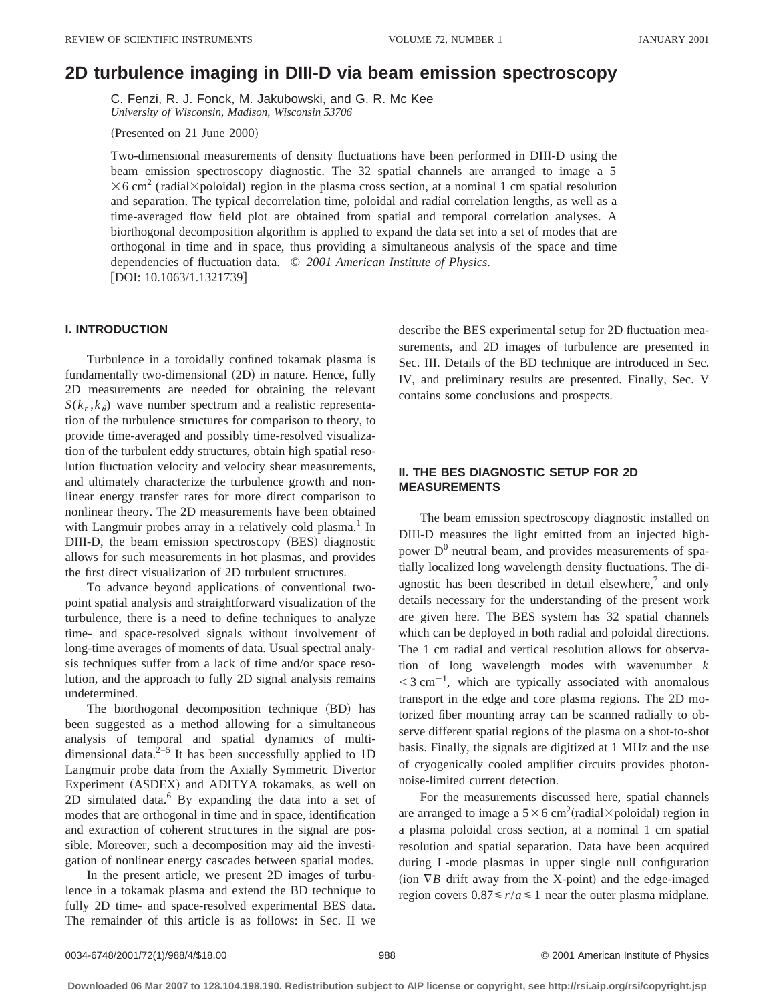# **2D turbulence imaging in DIII-D via beam emission spectroscopy**

C. Fenzi, R. J. Fonck, M. Jakubowski, and G. R. Mc Kee *University of Wisconsin, Madison, Wisconsin 53706*

(Presented on 21 June 2000)

Two-dimensional measurements of density fluctuations have been performed in DIII-D using the beam emission spectroscopy diagnostic. The 32 spatial channels are arranged to image a 5  $\times$ 6 cm<sup>2</sup> (radial $\times$ poloidal) region in the plasma cross section, at a nominal 1 cm spatial resolution and separation. The typical decorrelation time, poloidal and radial correlation lengths, as well as a time-averaged flow field plot are obtained from spatial and temporal correlation analyses. A biorthogonal decomposition algorithm is applied to expand the data set into a set of modes that are orthogonal in time and in space, thus providing a simultaneous analysis of the space and time dependencies of fluctuation data. © *2001 American Institute of Physics.* [DOI: 10.1063/1.1321739]

#### **I. INTRODUCTION**

Turbulence in a toroidally confined tokamak plasma is fundamentally two-dimensional (2D) in nature. Hence, fully 2D measurements are needed for obtaining the relevant  $S(k_r, k_\theta)$  wave number spectrum and a realistic representation of the turbulence structures for comparison to theory, to provide time-averaged and possibly time-resolved visualization of the turbulent eddy structures, obtain high spatial resolution fluctuation velocity and velocity shear measurements, and ultimately characterize the turbulence growth and nonlinear energy transfer rates for more direct comparison to nonlinear theory. The 2D measurements have been obtained with Langmuir probes array in a relatively cold plasma.<sup>1</sup> In DIII-D, the beam emission spectroscopy (BES) diagnostic allows for such measurements in hot plasmas, and provides the first direct visualization of 2D turbulent structures.

To advance beyond applications of conventional twopoint spatial analysis and straightforward visualization of the turbulence, there is a need to define techniques to analyze time- and space-resolved signals without involvement of long-time averages of moments of data. Usual spectral analysis techniques suffer from a lack of time and/or space resolution, and the approach to fully 2D signal analysis remains undetermined.

The biorthogonal decomposition technique (BD) has been suggested as a method allowing for a simultaneous analysis of temporal and spatial dynamics of multidimensional data. $2^{-5}$  It has been successfully applied to 1D Langmuir probe data from the Axially Symmetric Divertor Experiment (ASDEX) and ADITYA tokamaks, as well on 2D simulated data. $6$  By expanding the data into a set of modes that are orthogonal in time and in space, identification and extraction of coherent structures in the signal are possible. Moreover, such a decomposition may aid the investigation of nonlinear energy cascades between spatial modes.

In the present article, we present 2D images of turbulence in a tokamak plasma and extend the BD technique to fully 2D time- and space-resolved experimental BES data. The remainder of this article is as follows: in Sec. II we describe the BES experimental setup for 2D fluctuation measurements, and 2D images of turbulence are presented in Sec. III. Details of the BD technique are introduced in Sec. IV, and preliminary results are presented. Finally, Sec. V contains some conclusions and prospects.

## **II. THE BES DIAGNOSTIC SETUP FOR 2D MEASUREMENTS**

The beam emission spectroscopy diagnostic installed on DIII-D measures the light emitted from an injected highpower  $D^0$  neutral beam, and provides measurements of spatially localized long wavelength density fluctuations. The diagnostic has been described in detail elsewhere, $\frac{7}{7}$  and only details necessary for the understanding of the present work are given here. The BES system has 32 spatial channels which can be deployed in both radial and poloidal directions. The 1 cm radial and vertical resolution allows for observation of long wavelength modes with wavenumber *k*  $<$ 3 cm<sup>-1</sup>, which are typically associated with anomalous transport in the edge and core plasma regions. The 2D motorized fiber mounting array can be scanned radially to observe different spatial regions of the plasma on a shot-to-shot basis. Finally, the signals are digitized at 1 MHz and the use of cryogenically cooled amplifier circuits provides photonnoise-limited current detection.

For the measurements discussed here, spatial channels are arranged to image a  $5 \times 6$  cm<sup>2</sup>(radial×poloidal) region in a plasma poloidal cross section, at a nominal 1 cm spatial resolution and spatial separation. Data have been acquired during L-mode plasmas in upper single null configuration (ion  $\nabla B$  drift away from the X-point) and the edge-imaged region covers  $0.87 \le r/a \le 1$  near the outer plasma midplane.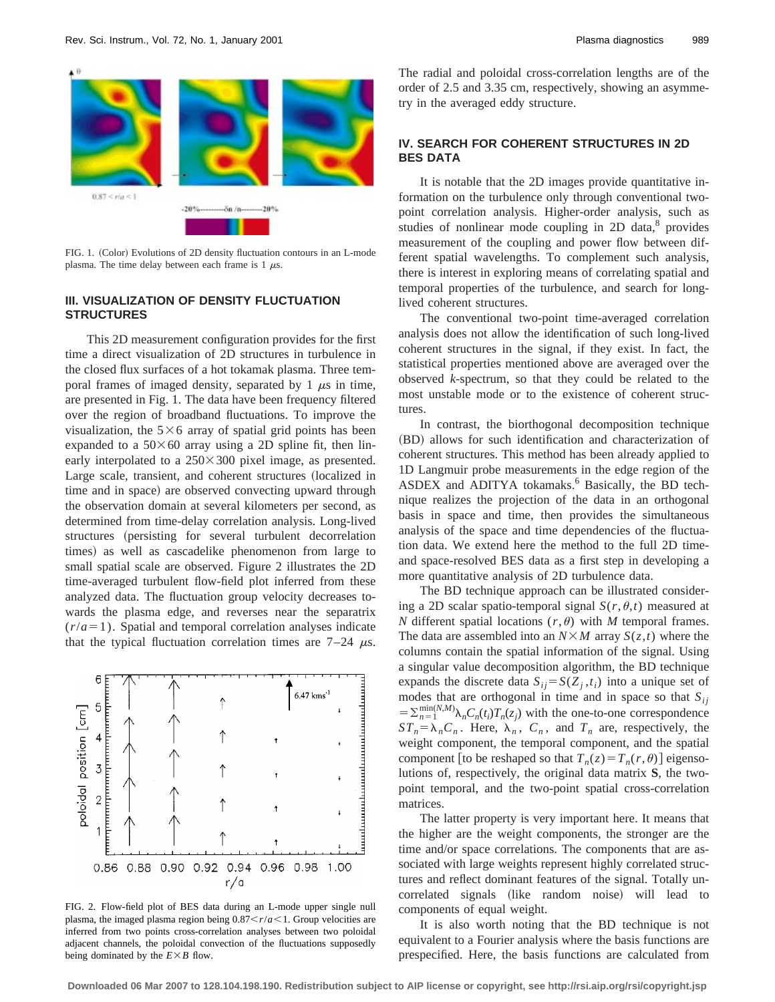

FIG. 1. (Color) Evolutions of 2D density fluctuation contours in an L-mode plasma. The time delay between each frame is  $1 \mu s$ .

## **III. VISUALIZATION OF DENSITY FLUCTUATION STRUCTURES**

This 2D measurement configuration provides for the first time a direct visualization of 2D structures in turbulence in the closed flux surfaces of a hot tokamak plasma. Three temporal frames of imaged density, separated by 1  $\mu$ s in time, are presented in Fig. 1. The data have been frequency filtered over the region of broadband fluctuations. To improve the visualization, the  $5\times6$  array of spatial grid points has been expanded to a  $50\times60$  array using a 2D spline fit, then linearly interpolated to a  $250\times300$  pixel image, as presented. Large scale, transient, and coherent structures (localized in time and in space) are observed convecting upward through the observation domain at several kilometers per second, as determined from time-delay correlation analysis. Long-lived structures (persisting for several turbulent decorrelation times) as well as cascadelike phenomenon from large to small spatial scale are observed. Figure 2 illustrates the 2D time-averaged turbulent flow-field plot inferred from these analyzed data. The fluctuation group velocity decreases towards the plasma edge, and reverses near the separatrix  $(r/a=1)$ . Spatial and temporal correlation analyses indicate that the typical fluctuation correlation times are  $7-24 \mu s$ .



FIG. 2. Flow-field plot of BES data during an L-mode upper single null plasma, the imaged plasma region being  $0.87 < r/a < 1$ . Group velocities are inferred from two points cross-correlation analyses between two poloidal adjacent channels, the poloidal convection of the fluctuations supposedly being dominated by the  $E \times B$  flow.

The radial and poloidal cross-correlation lengths are of the order of 2.5 and 3.35 cm, respectively, showing an asymmetry in the averaged eddy structure.

## **IV. SEARCH FOR COHERENT STRUCTURES IN 2D BES DATA**

It is notable that the 2D images provide quantitative information on the turbulence only through conventional twopoint correlation analysis. Higher-order analysis, such as studies of nonlinear mode coupling in  $2D$  data, $8$  provides measurement of the coupling and power flow between different spatial wavelengths. To complement such analysis, there is interest in exploring means of correlating spatial and temporal properties of the turbulence, and search for longlived coherent structures.

The conventional two-point time-averaged correlation analysis does not allow the identification of such long-lived coherent structures in the signal, if they exist. In fact, the statistical properties mentioned above are averaged over the observed *k*-spectrum, so that they could be related to the most unstable mode or to the existence of coherent structures.

In contrast, the biorthogonal decomposition technique  $(BD)$  allows for such identification and characterization of coherent structures. This method has been already applied to 1D Langmuir probe measurements in the edge region of the ASDEX and ADITYA tokamaks.<sup>6</sup> Basically, the BD technique realizes the projection of the data in an orthogonal basis in space and time, then provides the simultaneous analysis of the space and time dependencies of the fluctuation data. We extend here the method to the full 2D timeand space-resolved BES data as a first step in developing a more quantitative analysis of 2D turbulence data.

The BD technique approach can be illustrated considering a 2D scalar spatio-temporal signal  $S(r, \theta, t)$  measured at *N* different spatial locations  $(r, \theta)$  with *M* temporal frames. The data are assembled into an  $N \times M$  array  $S(z,t)$  where the columns contain the spatial information of the signal. Using a singular value decomposition algorithm, the BD technique expands the discrete data  $S_{ij} = S(Z_j, t_i)$  into a unique set of modes that are orthogonal in time and in space so that  $S_{ii}$  $=\sum_{n=1}^{\min(N,M)}\lambda_nC_n(t_i)T_n(z_j)$  with the one-to-one correspondence  $ST_n = \lambda_n C_n$ . Here,  $\lambda_n$ ,  $C_n$ , and  $T_n$  are, respectively, the weight component, the temporal component, and the spatial component [to be reshaped so that  $T_n(z) = T_n(r, \theta)$ ] eigensolutions of, respectively, the original data matrix **S**, the twopoint temporal, and the two-point spatial cross-correlation matrices.

The latter property is very important here. It means that the higher are the weight components, the stronger are the time and/or space correlations. The components that are associated with large weights represent highly correlated structures and reflect dominant features of the signal. Totally uncorrelated signals (like random noise) will lead to components of equal weight.

It is also worth noting that the BD technique is not equivalent to a Fourier analysis where the basis functions are prespecified. Here, the basis functions are calculated from

**Downloaded 06 Mar 2007 to 128.104.198.190. Redistribution subject to AIP license or copyright, see http://rsi.aip.org/rsi/copyright.jsp**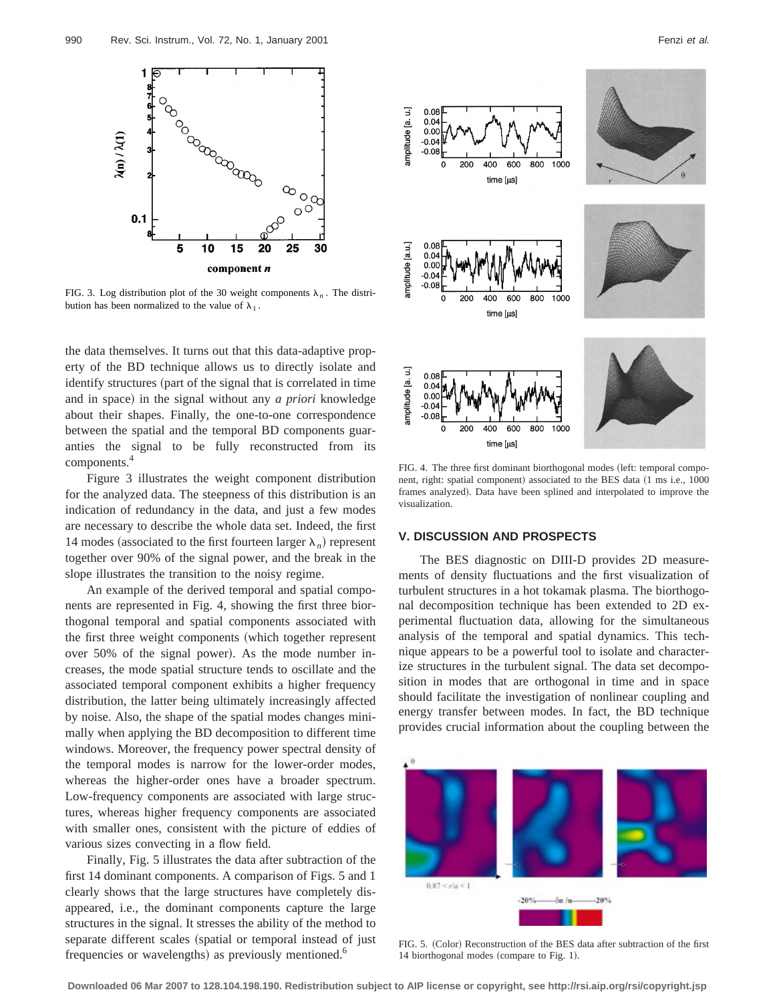

FIG. 3. Log distribution plot of the 30 weight components  $\lambda_n$ . The distribution has been normalized to the value of  $\lambda_1$ .

the data themselves. It turns out that this data-adaptive property of the BD technique allows us to directly isolate and identify structures (part of the signal that is correlated in time and in space) in the signal without any *a priori* knowledge about their shapes. Finally, the one-to-one correspondence between the spatial and the temporal BD components guaranties the signal to be fully reconstructed from its components.<sup>4</sup>

Figure 3 illustrates the weight component distribution for the analyzed data. The steepness of this distribution is an indication of redundancy in the data, and just a few modes are necessary to describe the whole data set. Indeed, the first 14 modes (associated to the first fourteen larger  $\lambda_n$ ) represent together over 90% of the signal power, and the break in the slope illustrates the transition to the noisy regime.

An example of the derived temporal and spatial components are represented in Fig. 4, showing the first three biorthogonal temporal and spatial components associated with the first three weight components (which together represent over 50% of the signal power). As the mode number increases, the mode spatial structure tends to oscillate and the associated temporal component exhibits a higher frequency distribution, the latter being ultimately increasingly affected by noise. Also, the shape of the spatial modes changes minimally when applying the BD decomposition to different time windows. Moreover, the frequency power spectral density of the temporal modes is narrow for the lower-order modes, whereas the higher-order ones have a broader spectrum. Low-frequency components are associated with large structures, whereas higher frequency components are associated with smaller ones, consistent with the picture of eddies of various sizes convecting in a flow field.

Finally, Fig. 5 illustrates the data after subtraction of the first 14 dominant components. A comparison of Figs. 5 and 1 clearly shows that the large structures have completely disappeared, i.e., the dominant components capture the large structures in the signal. It stresses the ability of the method to separate different scales (spatial or temporal instead of just frequencies or wavelengths) as previously mentioned.<sup>6</sup>



FIG. 4. The three first dominant biorthogonal modes (left: temporal component, right: spatial component) associated to the BES data (1 ms i.e., 1000 frames analyzed). Data have been splined and interpolated to improve the visualization.

#### **V. DISCUSSION AND PROSPECTS**

The BES diagnostic on DIII-D provides 2D measurements of density fluctuations and the first visualization of turbulent structures in a hot tokamak plasma. The biorthogonal decomposition technique has been extended to 2D experimental fluctuation data, allowing for the simultaneous analysis of the temporal and spatial dynamics. This technique appears to be a powerful tool to isolate and characterize structures in the turbulent signal. The data set decomposition in modes that are orthogonal in time and in space should facilitate the investigation of nonlinear coupling and energy transfer between modes. In fact, the BD technique provides crucial information about the coupling between the



FIG. 5. (Color) Reconstruction of the BES data after subtraction of the first 14 biorthogonal modes (compare to Fig. 1).

**Downloaded 06 Mar 2007 to 128.104.198.190. Redistribution subject to AIP license or copyright, see http://rsi.aip.org/rsi/copyright.jsp**